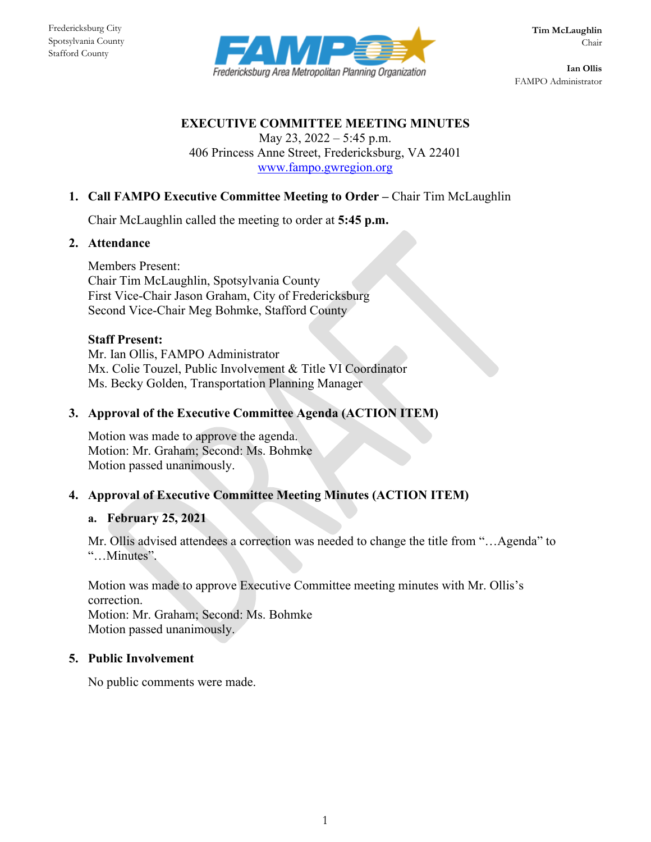

**Ian Ollis** FAMPO Administrator

## **EXECUTIVE COMMITTEE MEETING MINUTES**

May 23, 2022 – 5:45 p.m. 406 Princess Anne Street, Fredericksburg, VA 22401 [www.fampo.gwregion.org](http://www.fampo.gwregion.org/)

# **1. Call FAMPO Executive Committee Meeting to Order –** Chair Tim McLaughlin

Chair McLaughlin called the meeting to order at **5:45 p.m.**

#### **2. Attendance**

Members Present: Chair Tim McLaughlin, Spotsylvania County First Vice-Chair Jason Graham, City of Fredericksburg Second Vice-Chair Meg Bohmke, Stafford County

#### **Staff Present:**

Mr. Ian Ollis, FAMPO Administrator Mx. Colie Touzel, Public Involvement & Title VI Coordinator Ms. Becky Golden, Transportation Planning Manager

### **3. Approval of the Executive Committee Agenda (ACTION ITEM)**

Motion was made to approve the agenda. Motion: Mr. Graham; Second: Ms. Bohmke Motion passed unanimously.

### **4. [Approval of Executive Committee Meeting Minutes \(ACTION ITEM\)](https://www.fampo.gwregion.org/wp-content/uploads/2021/03/2021.02.25_FAMPO-ExecCmte_Draft-Minutes.pdf)**

### **a. February 25, 2021**

Mr. Ollis advised attendees a correction was needed to change the title from "…Agenda" to "…Minutes".

Motion was made to approve Executive Committee meeting minutes with Mr. Ollis's correction.

Motion: Mr. Graham; Second: Ms. Bohmke Motion passed unanimously.

## **5. Public Involvement**

No public comments were made.